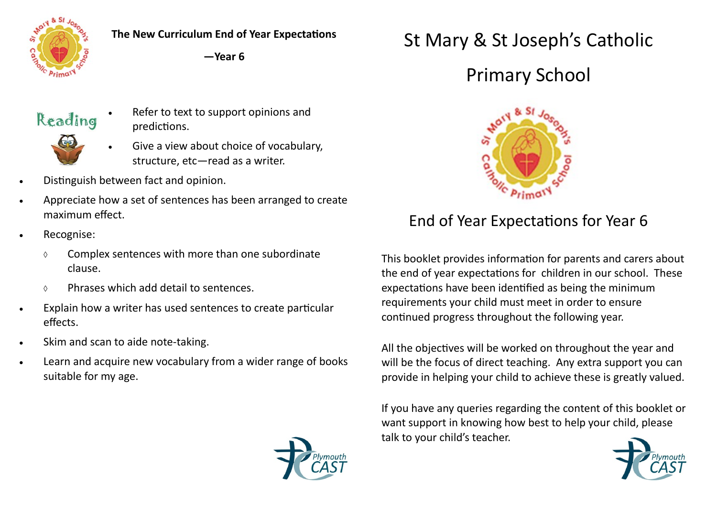

**The New Curriculum End of Year Expectations**

**—Year 6**



 Refer to text to support opinions and predictions.



- Give a view about choice of vocabulary, structure, etc—read as a writer.
- Distinguish between fact and opinion.
- Appreciate how a set of sentences has been arranged to create maximum effect.
- Recognise:
	- $\circ$  Complex sentences with more than one subordinate clause.
	- Phrases which add detail to sentences.
- Explain how a writer has used sentences to create particular effects.
- Skim and scan to aide note-taking.
- Learn and acquire new vocabulary from a wider range of books suitable for my age.

## St Mary & St Joseph's Catholic

## Primary School



## End of Year Expectations for Year 6

This booklet provides information for parents and carers about the end of year expectations for children in our school. These expectations have been identified as being the minimum requirements your child must meet in order to ensure continued progress throughout the following year.

All the objectives will be worked on throughout the year and will be the focus of direct teaching. Any extra support you can provide in helping your child to achieve these is greatly valued.

If you have any queries regarding the content of this booklet or want support in knowing how best to help your child, please talk to your child's teacher.